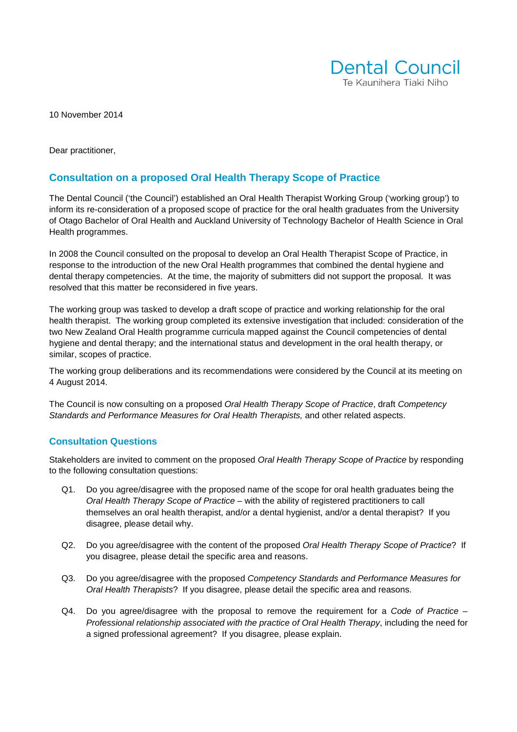

10 November 2014

Dear practitioner,

#### **Consultation on a proposed Oral Health Therapy Scope of Practice**

The Dental Council ('the Council') established an Oral Health Therapist Working Group ('working group') to inform its re-consideration of a proposed scope of practice for the oral health graduates from the University of Otago Bachelor of Oral Health and Auckland University of Technology Bachelor of Health Science in Oral Health programmes.

In 2008 the Council consulted on the proposal to develop an Oral Health Therapist Scope of Practice, in response to the introduction of the new Oral Health programmes that combined the dental hygiene and dental therapy competencies. At the time, the majority of submitters did not support the proposal. It was resolved that this matter be reconsidered in five years.

The working group was tasked to develop a draft scope of practice and working relationship for the oral health therapist. The working group completed its extensive investigation that included: consideration of the two New Zealand Oral Health programme curricula mapped against the Council competencies of dental hygiene and dental therapy; and the international status and development in the oral health therapy, or similar, scopes of practice.

The working group deliberations and its recommendations were considered by the Council at its meeting on 4 August 2014.

The Council is now consulting on a proposed Oral Health Therapy Scope of Practice, draft Competency Standards and Performance Measures for Oral Health Therapists, and other related aspects.

#### **Consultation Questions**

Stakeholders are invited to comment on the proposed Oral Health Therapy Scope of Practice by responding to the following consultation questions:

- Q1. Do you agree/disagree with the proposed name of the scope for oral health graduates being the Oral Health Therapy Scope of Practice – with the ability of registered practitioners to call themselves an oral health therapist, and/or a dental hygienist, and/or a dental therapist? If you disagree, please detail why.
- Q2. Do you agree/disagree with the content of the proposed Oral Health Therapy Scope of Practice? If you disagree, please detail the specific area and reasons.
- Q3. Do you agree/disagree with the proposed Competency Standards and Performance Measures for Oral Health Therapists? If you disagree, please detail the specific area and reasons.
- $Q4.$  Do you agree/disagree with the proposal to remove the requirement for a Code of Practice  $-$ Professional relationship associated with the practice of Oral Health Therapy, including the need for a signed professional agreement? If you disagree, please explain.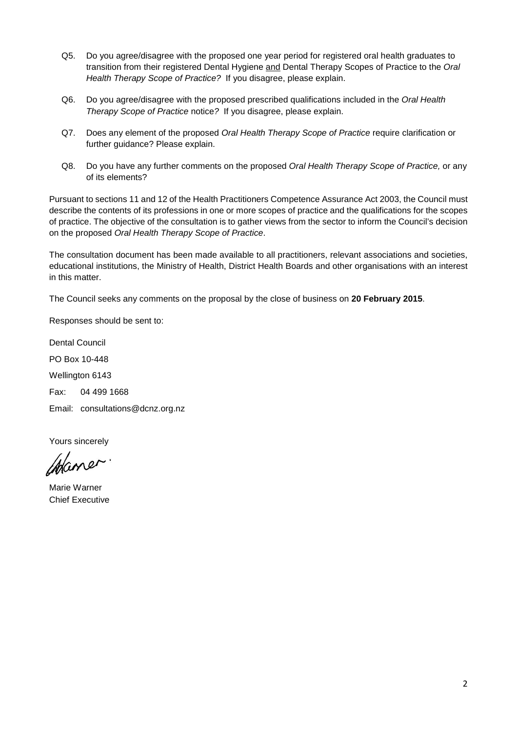- Q5. Do you agree/disagree with the proposed one year period for registered oral health graduates to transition from their registered Dental Hygiene and Dental Therapy Scopes of Practice to the Oral Health Therapy Scope of Practice? If you disagree, please explain.
- Q6. Do you agree/disagree with the proposed prescribed qualifications included in the Oral Health Therapy Scope of Practice notice? If you disagree, please explain.
- Q7. Does any element of the proposed Oral Health Therapy Scope of Practice require clarification or further guidance? Please explain.
- Q8. Do you have any further comments on the proposed Oral Health Therapy Scope of Practice, or any of its elements?

Pursuant to sections 11 and 12 of the Health Practitioners Competence Assurance Act 2003, the Council must describe the contents of its professions in one or more scopes of practice and the qualifications for the scopes of practice. The objective of the consultation is to gather views from the sector to inform the Council's decision on the proposed Oral Health Therapy Scope of Practice.

The consultation document has been made available to all practitioners, relevant associations and societies, educational institutions, the Ministry of Health, District Health Boards and other organisations with an interest in this matter.

The Council seeks any comments on the proposal by the close of business on **20 February 2015**.

Responses should be sent to:

Dental Council PO Box 10-448 Wellington 6143 Fax: 04 499 1668 Email: consultations@dcnz.org.nz

Yours sincerely

Wane

Marie Warner Chief Executive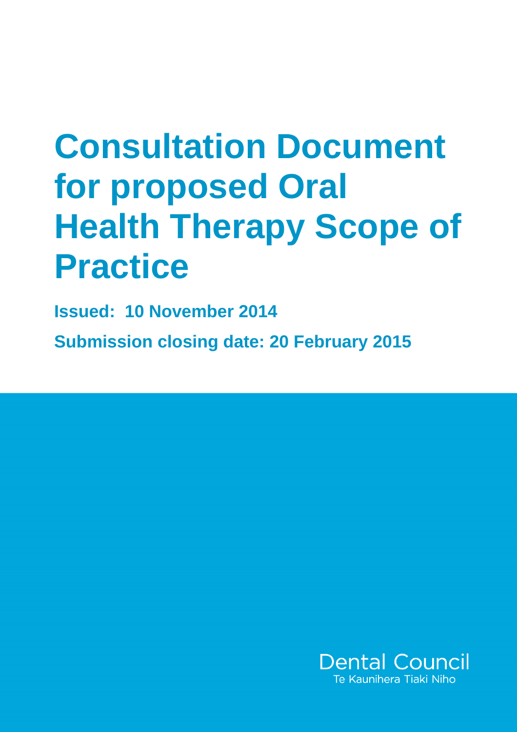# **Consultation Document for proposed Oral Health Therapy Scope of Practice**

**Issued: 10 November 2014** 

**Submission closing date: 20 February 2015**

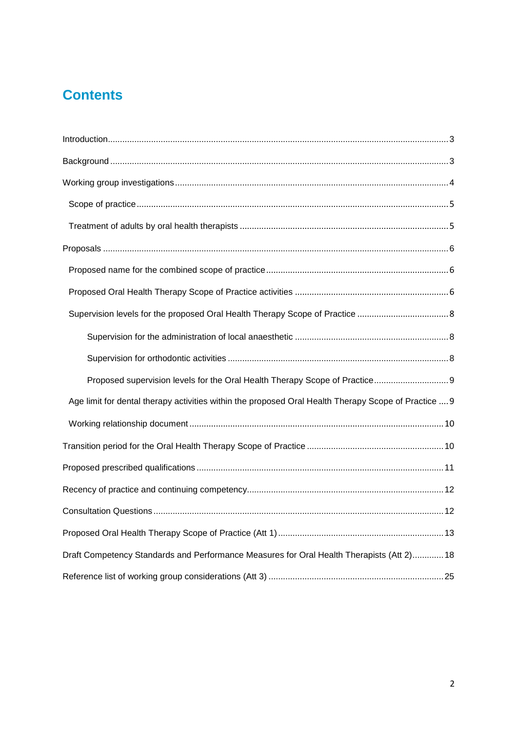## **Contents**

| Proposed supervision levels for the Oral Health Therapy Scope of Practice 9                          |
|------------------------------------------------------------------------------------------------------|
| Age limit for dental therapy activities within the proposed Oral Health Therapy Scope of Practice  9 |
|                                                                                                      |
|                                                                                                      |
|                                                                                                      |
|                                                                                                      |
|                                                                                                      |
|                                                                                                      |
| Draft Competency Standards and Performance Measures for Oral Health Therapists (Att 2) 18            |
|                                                                                                      |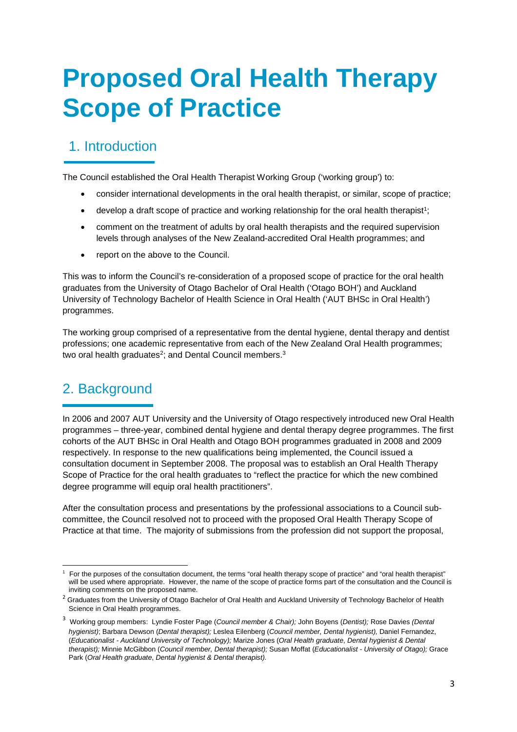## **Proposed Oral Health Therapy Scope of Practice**

## 1. Introduction

The Council established the Oral Health Therapist Working Group ('working group') to:

- consider international developments in the oral health therapist, or similar, scope of practice;
- $\bullet$  develop a draft scope of practice and working relationship for the oral health therapist<sup>1</sup>;
- comment on the treatment of adults by oral health therapists and the required supervision levels through analyses of the New Zealand-accredited Oral Health programmes; and
- report on the above to the Council.

This was to inform the Council's re-consideration of a proposed scope of practice for the oral health graduates from the University of Otago Bachelor of Oral Health ('Otago BOH') and Auckland University of Technology Bachelor of Health Science in Oral Health ('AUT BHSc in Oral Health') programmes.

The working group comprised of a representative from the dental hygiene, dental therapy and dentist professions; one academic representative from each of the New Zealand Oral Health programmes; two oral health graduates<sup>2</sup>; and Dental Council members.<sup>3</sup>

## 2. Background

 $\overline{a}$ 

In 2006 and 2007 AUT University and the University of Otago respectively introduced new Oral Health programmes – three-year, combined dental hygiene and dental therapy degree programmes. The first cohorts of the AUT BHSc in Oral Health and Otago BOH programmes graduated in 2008 and 2009 respectively. In response to the new qualifications being implemented, the Council issued a consultation document in September 2008. The proposal was to establish an Oral Health Therapy Scope of Practice for the oral health graduates to "reflect the practice for which the new combined degree programme will equip oral health practitioners".

After the consultation process and presentations by the professional associations to a Council subcommittee, the Council resolved not to proceed with the proposed Oral Health Therapy Scope of Practice at that time. The majority of submissions from the profession did not support the proposal,

<sup>1</sup> For the purposes of the consultation document, the terms "oral health therapy scope of practice" and "oral health therapist" will be used where appropriate. However, the name of the scope of practice forms part of the consultation and the Council is inviting comments on the proposed name.

<sup>&</sup>lt;sup>2</sup> Graduates from the University of Otago Bachelor of Oral Health and Auckland University of Technology Bachelor of Health Science in Oral Health programmes.

<sup>&</sup>lt;sup>3</sup> Working group members: Lyndie Foster Page (Council member & Chair); John Boyens (Dentist); Rose Davies *(Dental* hygienist); Barbara Dewson (Dental therapist); Leslea Eilenberg (Council member, Dental hygienist), Daniel Fernandez, (Educationalist - Auckland University of Technology); Marize Jones (Oral Health graduate, Dental hygienist & Dental therapist); Minnie McGibbon (Council member, Dental therapist); Susan Moffat (Educationalist - University of Otago); Grace Park (Oral Health graduate, Dental hygienist & Dental therapist).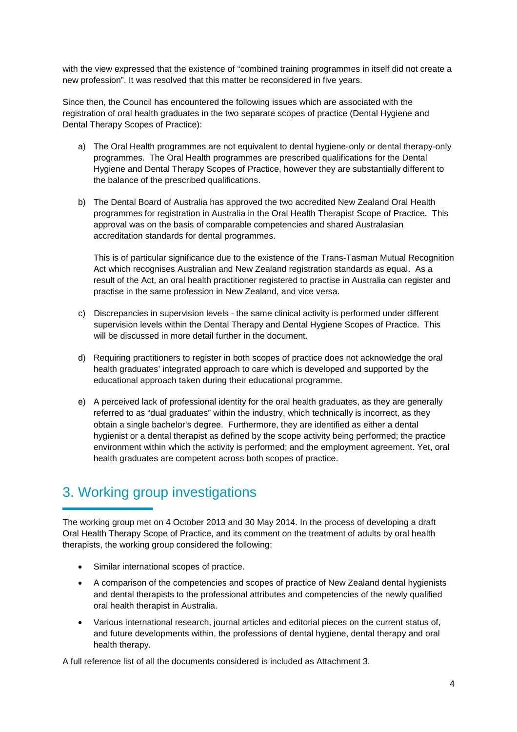with the view expressed that the existence of "combined training programmes in itself did not create a new profession". It was resolved that this matter be reconsidered in five years.

Since then, the Council has encountered the following issues which are associated with the registration of oral health graduates in the two separate scopes of practice (Dental Hygiene and Dental Therapy Scopes of Practice):

- a) The Oral Health programmes are not equivalent to dental hygiene-only or dental therapy-only programmes. The Oral Health programmes are prescribed qualifications for the Dental Hygiene and Dental Therapy Scopes of Practice, however they are substantially different to the balance of the prescribed qualifications.
- b) The Dental Board of Australia has approved the two accredited New Zealand Oral Health programmes for registration in Australia in the Oral Health Therapist Scope of Practice. This approval was on the basis of comparable competencies and shared Australasian accreditation standards for dental programmes.

This is of particular significance due to the existence of the Trans-Tasman Mutual Recognition Act which recognises Australian and New Zealand registration standards as equal. As a result of the Act, an oral health practitioner registered to practise in Australia can register and practise in the same profession in New Zealand, and vice versa.

- c) Discrepancies in supervision levels the same clinical activity is performed under different supervision levels within the Dental Therapy and Dental Hygiene Scopes of Practice. This will be discussed in more detail further in the document.
- d) Requiring practitioners to register in both scopes of practice does not acknowledge the oral health graduates' integrated approach to care which is developed and supported by the educational approach taken during their educational programme.
- e) A perceived lack of professional identity for the oral health graduates, as they are generally referred to as "dual graduates" within the industry, which technically is incorrect, as they obtain a single bachelor's degree. Furthermore, they are identified as either a dental hygienist or a dental therapist as defined by the scope activity being performed; the practice environment within which the activity is performed; and the employment agreement. Yet, oral health graduates are competent across both scopes of practice.

## 3. Working group investigations

The working group met on 4 October 2013 and 30 May 2014. In the process of developing a draft Oral Health Therapy Scope of Practice, and its comment on the treatment of adults by oral health therapists, the working group considered the following:

- Similar international scopes of practice.
- A comparison of the competencies and scopes of practice of New Zealand dental hygienists and dental therapists to the professional attributes and competencies of the newly qualified oral health therapist in Australia.
- Various international research, journal articles and editorial pieces on the current status of, and future developments within, the professions of dental hygiene, dental therapy and oral health therapy.

A full reference list of all the documents considered is included as Attachment 3.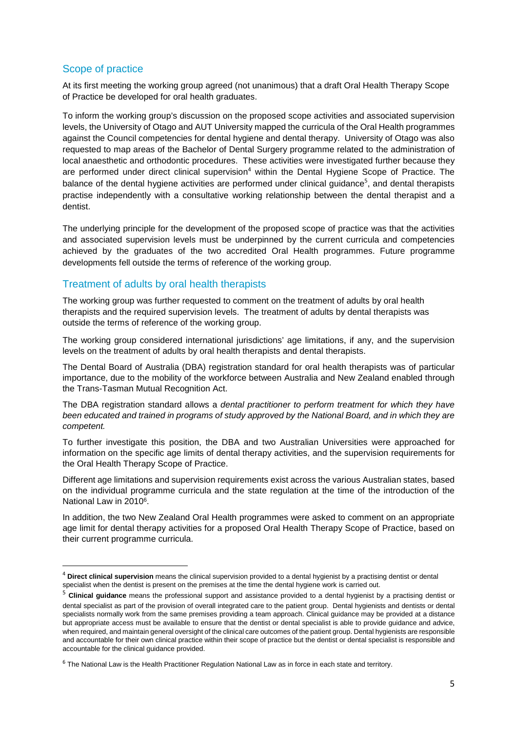#### Scope of practice

l

At its first meeting the working group agreed (not unanimous) that a draft Oral Health Therapy Scope of Practice be developed for oral health graduates.

To inform the working group's discussion on the proposed scope activities and associated supervision levels, the University of Otago and AUT University mapped the curricula of the Oral Health programmes against the Council competencies for dental hygiene and dental therapy. University of Otago was also requested to map areas of the Bachelor of Dental Surgery programme related to the administration of local anaesthetic and orthodontic procedures. These activities were investigated further because they are performed under direct clinical supervision<sup>4</sup> within the Dental Hygiene Scope of Practice. The balance of the dental hygiene activities are performed under clinical guidance<sup>5</sup>, and dental therapists practise independently with a consultative working relationship between the dental therapist and a dentist.

The underlying principle for the development of the proposed scope of practice was that the activities and associated supervision levels must be underpinned by the current curricula and competencies achieved by the graduates of the two accredited Oral Health programmes. Future programme developments fell outside the terms of reference of the working group.

#### Treatment of adults by oral health therapists

The working group was further requested to comment on the treatment of adults by oral health therapists and the required supervision levels. The treatment of adults by dental therapists was outside the terms of reference of the working group.

The working group considered international jurisdictions' age limitations, if any, and the supervision levels on the treatment of adults by oral health therapists and dental therapists.

The Dental Board of Australia (DBA) registration standard for oral health therapists was of particular importance, due to the mobility of the workforce between Australia and New Zealand enabled through the Trans-Tasman Mutual Recognition Act.

The DBA registration standard allows a dental practitioner to perform treatment for which they have been educated and trained in programs of study approved by the National Board, and in which they are competent.

To further investigate this position, the DBA and two Australian Universities were approached for information on the specific age limits of dental therapy activities, and the supervision requirements for the Oral Health Therapy Scope of Practice.

Different age limitations and supervision requirements exist across the various Australian states, based on the individual programme curricula and the state regulation at the time of the introduction of the National Law in 2010<sup>6</sup>.

In addition, the two New Zealand Oral Health programmes were asked to comment on an appropriate age limit for dental therapy activities for a proposed Oral Health Therapy Scope of Practice, based on their current programme curricula.

<sup>4</sup> **Direct clinical supervision** means the clinical supervision provided to a dental hygienist by a practising dentist or dental specialist when the dentist is present on the premises at the time the dental hygiene work is carried out.

<sup>&</sup>lt;sup>5</sup> Clinical guidance means the professional support and assistance provided to a dental hygienist by a practising dentist or dental specialist as part of the provision of overall integrated care to the patient group. Dental hygienists and dentists or dental specialists normally work from the same premises providing a team approach. Clinical guidance may be provided at a distance but appropriate access must be available to ensure that the dentist or dental specialist is able to provide guidance and advice, when required, and maintain general oversight of the clinical care outcomes of the patient group. Dental hygienists are responsible and accountable for their own clinical practice within their scope of practice but the dentist or dental specialist is responsible and accountable for the clinical guidance provided.

<sup>6</sup> The National Law is the Health Practitioner Regulation National Law as in force in each state and territory.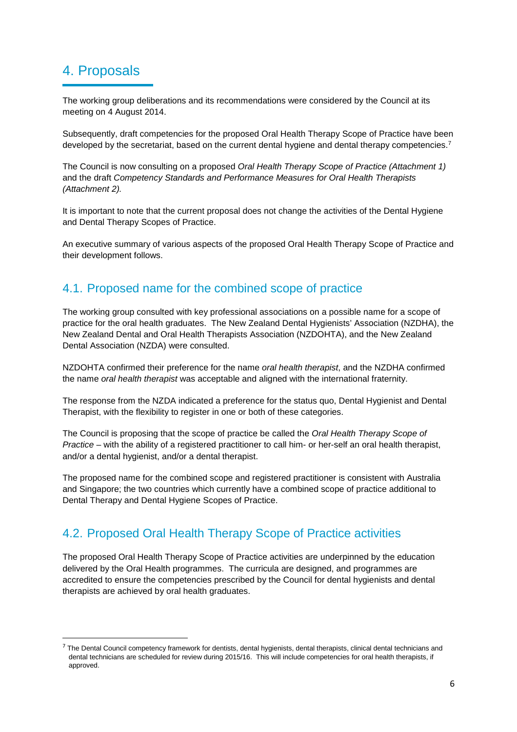## 4. Proposals

 $\overline{a}$ 

The working group deliberations and its recommendations were considered by the Council at its meeting on 4 August 2014.

Subsequently, draft competencies for the proposed Oral Health Therapy Scope of Practice have been developed by the secretariat, based on the current dental hygiene and dental therapy competencies.<sup>7</sup>

The Council is now consulting on a proposed Oral Health Therapy Scope of Practice (Attachment 1) and the draft Competency Standards and Performance Measures for Oral Health Therapists (Attachment 2).

It is important to note that the current proposal does not change the activities of the Dental Hygiene and Dental Therapy Scopes of Practice.

An executive summary of various aspects of the proposed Oral Health Therapy Scope of Practice and their development follows.

### 4.1. Proposed name for the combined scope of practice

The working group consulted with key professional associations on a possible name for a scope of practice for the oral health graduates. The New Zealand Dental Hygienists' Association (NZDHA), the New Zealand Dental and Oral Health Therapists Association (NZDOHTA), and the New Zealand Dental Association (NZDA) were consulted.

NZDOHTA confirmed their preference for the name oral health therapist, and the NZDHA confirmed the name oral health therapist was acceptable and aligned with the international fraternity.

The response from the NZDA indicated a preference for the status quo, Dental Hygienist and Dental Therapist, with the flexibility to register in one or both of these categories.

The Council is proposing that the scope of practice be called the Oral Health Therapy Scope of Practice – with the ability of a registered practitioner to call him- or her-self an oral health therapist, and/or a dental hygienist, and/or a dental therapist.

The proposed name for the combined scope and registered practitioner is consistent with Australia and Singapore; the two countries which currently have a combined scope of practice additional to Dental Therapy and Dental Hygiene Scopes of Practice.

## 4.2. Proposed Oral Health Therapy Scope of Practice activities

The proposed Oral Health Therapy Scope of Practice activities are underpinned by the education delivered by the Oral Health programmes. The curricula are designed, and programmes are accredited to ensure the competencies prescribed by the Council for dental hygienists and dental therapists are achieved by oral health graduates.

 $7$  The Dental Council competency framework for dentists, dental hygienists, dental therapists, clinical dental technicians and dental technicians are scheduled for review during 2015/16. This will include competencies for oral health therapists, if approved.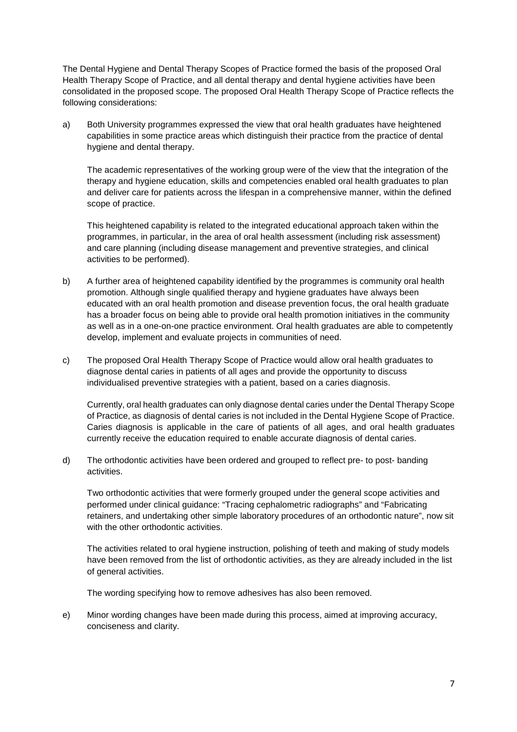The Dental Hygiene and Dental Therapy Scopes of Practice formed the basis of the proposed Oral Health Therapy Scope of Practice, and all dental therapy and dental hygiene activities have been consolidated in the proposed scope. The proposed Oral Health Therapy Scope of Practice reflects the following considerations:

a) Both University programmes expressed the view that oral health graduates have heightened capabilities in some practice areas which distinguish their practice from the practice of dental hygiene and dental therapy.

The academic representatives of the working group were of the view that the integration of the therapy and hygiene education, skills and competencies enabled oral health graduates to plan and deliver care for patients across the lifespan in a comprehensive manner, within the defined scope of practice.

This heightened capability is related to the integrated educational approach taken within the programmes, in particular, in the area of oral health assessment (including risk assessment) and care planning (including disease management and preventive strategies, and clinical activities to be performed).

- b) A further area of heightened capability identified by the programmes is community oral health promotion. Although single qualified therapy and hygiene graduates have always been educated with an oral health promotion and disease prevention focus, the oral health graduate has a broader focus on being able to provide oral health promotion initiatives in the community as well as in a one-on-one practice environment. Oral health graduates are able to competently develop, implement and evaluate projects in communities of need.
- c) The proposed Oral Health Therapy Scope of Practice would allow oral health graduates to diagnose dental caries in patients of all ages and provide the opportunity to discuss individualised preventive strategies with a patient, based on a caries diagnosis.

Currently, oral health graduates can only diagnose dental caries under the Dental Therapy Scope of Practice, as diagnosis of dental caries is not included in the Dental Hygiene Scope of Practice. Caries diagnosis is applicable in the care of patients of all ages, and oral health graduates currently receive the education required to enable accurate diagnosis of dental caries.

d) The orthodontic activities have been ordered and grouped to reflect pre- to post- banding activities.

 Two orthodontic activities that were formerly grouped under the general scope activities and performed under clinical guidance: "Tracing cephalometric radiographs" and "Fabricating retainers, and undertaking other simple laboratory procedures of an orthodontic nature", now sit with the other orthodontic activities.

The activities related to oral hygiene instruction, polishing of teeth and making of study models have been removed from the list of orthodontic activities, as they are already included in the list of general activities.

The wording specifying how to remove adhesives has also been removed.

e) Minor wording changes have been made during this process, aimed at improving accuracy, conciseness and clarity.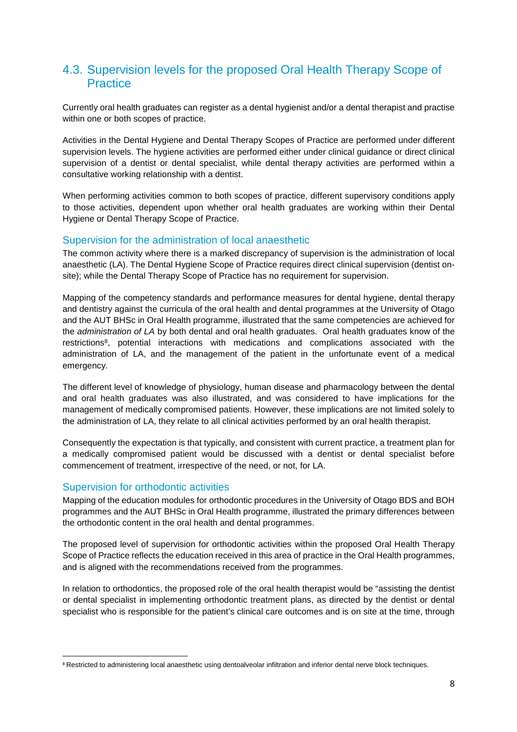## 4.3. Supervision levels for the proposed Oral Health Therapy Scope of **Practice**

Currently oral health graduates can register as a dental hygienist and/or a dental therapist and practise within one or both scopes of practice.

Activities in the Dental Hygiene and Dental Therapy Scopes of Practice are performed under different supervision levels. The hygiene activities are performed either under clinical guidance or direct clinical supervision of a dentist or dental specialist, while dental therapy activities are performed within a consultative working relationship with a dentist.

When performing activities common to both scopes of practice, different supervisory conditions apply to those activities, dependent upon whether oral health graduates are working within their Dental Hygiene or Dental Therapy Scope of Practice.

#### Supervision for the administration of local anaesthetic

The common activity where there is a marked discrepancy of supervision is the administration of local anaesthetic (LA). The Dental Hygiene Scope of Practice requires direct clinical supervision (dentist onsite); while the Dental Therapy Scope of Practice has no requirement for supervision.

Mapping of the competency standards and performance measures for dental hygiene, dental therapy and dentistry against the curricula of the oral health and dental programmes at the University of Otago and the AUT BHSc in Oral Health programme, illustrated that the same competencies are achieved for the administration of LA by both dental and oral health graduates. Oral health graduates know of the restrictions<sup>8</sup>, potential interactions with medications and complications associated with the administration of LA, and the management of the patient in the unfortunate event of a medical emergency.

The different level of knowledge of physiology, human disease and pharmacology between the dental and oral health graduates was also illustrated, and was considered to have implications for the management of medically compromised patients. However, these implications are not limited solely to the administration of LA, they relate to all clinical activities performed by an oral health therapist.

Consequently the expectation is that typically, and consistent with current practice, a treatment plan for a medically compromised patient would be discussed with a dentist or dental specialist before commencement of treatment, irrespective of the need, or not, for LA.

#### Supervision for orthodontic activities

l

Mapping of the education modules for orthodontic procedures in the University of Otago BDS and BOH programmes and the AUT BHSc in Oral Health programme, illustrated the primary differences between the orthodontic content in the oral health and dental programmes.

The proposed level of supervision for orthodontic activities within the proposed Oral Health Therapy Scope of Practice reflects the education received in this area of practice in the Oral Health programmes, and is aligned with the recommendations received from the programmes.

In relation to orthodontics, the proposed role of the oral health therapist would be "assisting the dentist or dental specialist in implementing orthodontic treatment plans, as directed by the dentist or dental specialist who is responsible for the patient's clinical care outcomes and is on site at the time, through

<sup>&</sup>lt;sup>8</sup> Restricted to administering local anaesthetic using dentoalveolar infiltration and inferior dental nerve block techniques.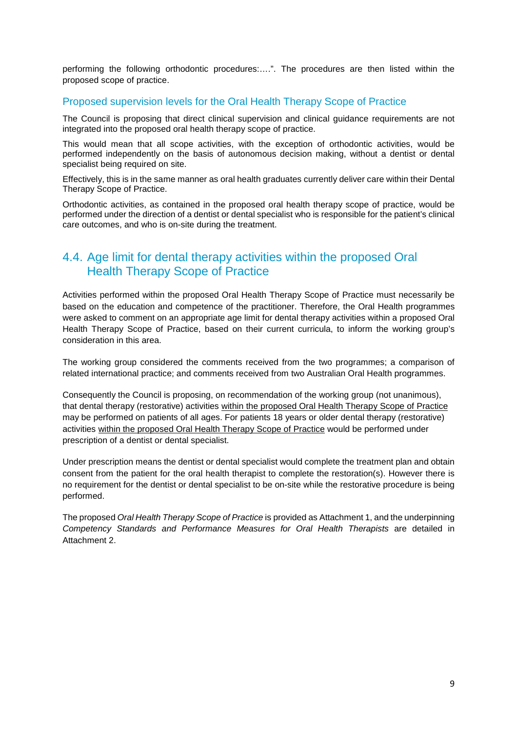performing the following orthodontic procedures:….". The procedures are then listed within the proposed scope of practice.

#### Proposed supervision levels for the Oral Health Therapy Scope of Practice

The Council is proposing that direct clinical supervision and clinical guidance requirements are not integrated into the proposed oral health therapy scope of practice.

This would mean that all scope activities, with the exception of orthodontic activities, would be performed independently on the basis of autonomous decision making, without a dentist or dental specialist being required on site.

Effectively, this is in the same manner as oral health graduates currently deliver care within their Dental Therapy Scope of Practice.

Orthodontic activities, as contained in the proposed oral health therapy scope of practice, would be performed under the direction of a dentist or dental specialist who is responsible for the patient's clinical care outcomes, and who is on-site during the treatment.

## 4.4. Age limit for dental therapy activities within the proposed Oral Health Therapy Scope of Practice

Activities performed within the proposed Oral Health Therapy Scope of Practice must necessarily be based on the education and competence of the practitioner. Therefore, the Oral Health programmes were asked to comment on an appropriate age limit for dental therapy activities within a proposed Oral Health Therapy Scope of Practice, based on their current curricula, to inform the working group's consideration in this area.

The working group considered the comments received from the two programmes; a comparison of related international practice; and comments received from two Australian Oral Health programmes.

Consequently the Council is proposing, on recommendation of the working group (not unanimous), that dental therapy (restorative) activities within the proposed Oral Health Therapy Scope of Practice may be performed on patients of all ages. For patients 18 years or older dental therapy (restorative) activities within the proposed Oral Health Therapy Scope of Practice would be performed under prescription of a dentist or dental specialist.

Under prescription means the dentist or dental specialist would complete the treatment plan and obtain consent from the patient for the oral health therapist to complete the restoration(s). However there is no requirement for the dentist or dental specialist to be on-site while the restorative procedure is being performed.

The proposed Oral Health Therapy Scope of Practice is provided as Attachment 1, and the underpinning Competency Standards and Performance Measures for Oral Health Therapists are detailed in Attachment 2.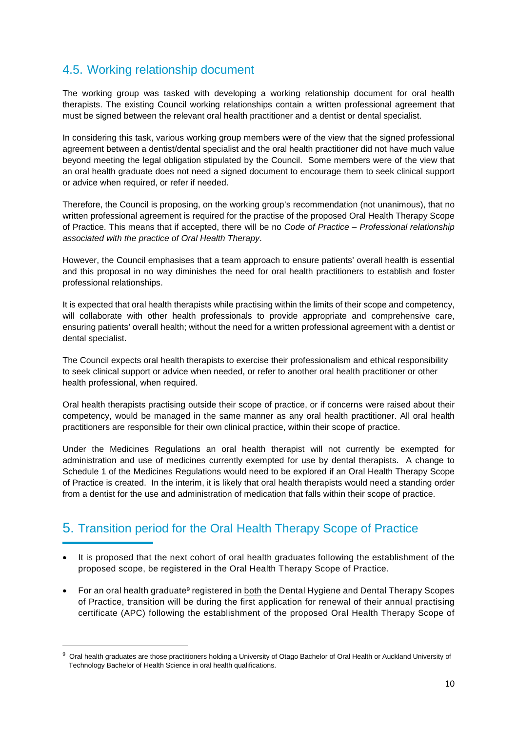## 4.5. Working relationship document

The working group was tasked with developing a working relationship document for oral health therapists. The existing Council working relationships contain a written professional agreement that must be signed between the relevant oral health practitioner and a dentist or dental specialist.

In considering this task, various working group members were of the view that the signed professional agreement between a dentist/dental specialist and the oral health practitioner did not have much value beyond meeting the legal obligation stipulated by the Council. Some members were of the view that an oral health graduate does not need a signed document to encourage them to seek clinical support or advice when required, or refer if needed.

Therefore, the Council is proposing, on the working group's recommendation (not unanimous), that no written professional agreement is required for the practise of the proposed Oral Health Therapy Scope of Practice. This means that if accepted, there will be no Code of Practice – Professional relationship associated with the practice of Oral Health Therapy.

However, the Council emphasises that a team approach to ensure patients' overall health is essential and this proposal in no way diminishes the need for oral health practitioners to establish and foster professional relationships.

It is expected that oral health therapists while practising within the limits of their scope and competency, will collaborate with other health professionals to provide appropriate and comprehensive care, ensuring patients' overall health; without the need for a written professional agreement with a dentist or dental specialist.

The Council expects oral health therapists to exercise their professionalism and ethical responsibility to seek clinical support or advice when needed, or refer to another oral health practitioner or other health professional, when required.

Oral health therapists practising outside their scope of practice, or if concerns were raised about their competency, would be managed in the same manner as any oral health practitioner. All oral health practitioners are responsible for their own clinical practice, within their scope of practice.

Under the Medicines Regulations an oral health therapist will not currently be exempted for administration and use of medicines currently exempted for use by dental therapists. A change to Schedule 1 of the Medicines Regulations would need to be explored if an Oral Health Therapy Scope of Practice is created. In the interim, it is likely that oral health therapists would need a standing order from a dentist for the use and administration of medication that falls within their scope of practice.

## 5. Transition period for the Oral Health Therapy Scope of Practice

- It is proposed that the next cohort of oral health graduates following the establishment of the proposed scope, be registered in the Oral Health Therapy Scope of Practice.
- For an oral health graduate<sup>9</sup> registered in both the Dental Hygiene and Dental Therapy Scopes of Practice, transition will be during the first application for renewal of their annual practising certificate (APC) following the establishment of the proposed Oral Health Therapy Scope of

l

<sup>&</sup>lt;sup>9</sup> Oral health graduates are those practitioners holding a University of Otago Bachelor of Oral Health or Auckland University of Technology Bachelor of Health Science in oral health qualifications.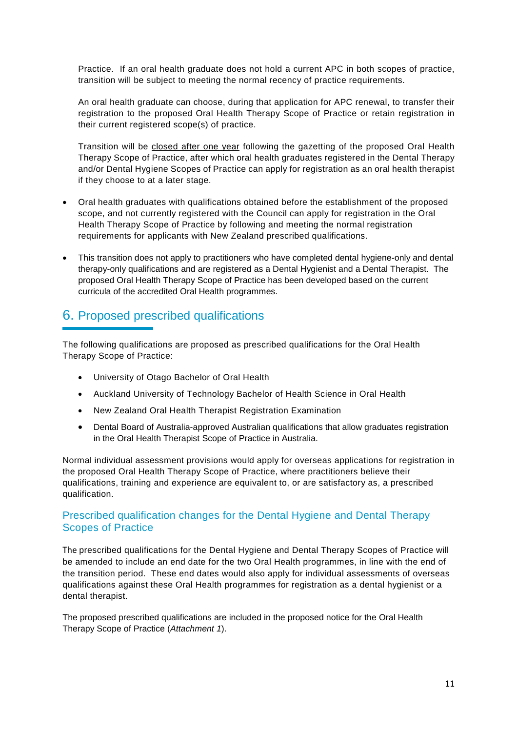Practice. If an oral health graduate does not hold a current APC in both scopes of practice, transition will be subject to meeting the normal recency of practice requirements.

An oral health graduate can choose, during that application for APC renewal, to transfer their registration to the proposed Oral Health Therapy Scope of Practice or retain registration in their current registered scope(s) of practice.

Transition will be closed after one year following the gazetting of the proposed Oral Health Therapy Scope of Practice, after which oral health graduates registered in the Dental Therapy and/or Dental Hygiene Scopes of Practice can apply for registration as an oral health therapist if they choose to at a later stage.

- Oral health graduates with qualifications obtained before the establishment of the proposed scope, and not currently registered with the Council can apply for registration in the Oral Health Therapy Scope of Practice by following and meeting the normal registration requirements for applicants with New Zealand prescribed qualifications.
- This transition does not apply to practitioners who have completed dental hygiene-only and dental therapy-only qualifications and are registered as a Dental Hygienist and a Dental Therapist. The proposed Oral Health Therapy Scope of Practice has been developed based on the current curricula of the accredited Oral Health programmes.

## 6. Proposed prescribed qualifications

The following qualifications are proposed as prescribed qualifications for the Oral Health Therapy Scope of Practice:

- University of Otago Bachelor of Oral Health
- Auckland University of Technology Bachelor of Health Science in Oral Health
- New Zealand Oral Health Therapist Registration Examination
- Dental Board of Australia-approved Australian qualifications that allow graduates registration in the Oral Health Therapist Scope of Practice in Australia.

Normal individual assessment provisions would apply for overseas applications for registration in the proposed Oral Health Therapy Scope of Practice, where practitioners believe their qualifications, training and experience are equivalent to, or are satisfactory as, a prescribed qualification.

#### Prescribed qualification changes for the Dental Hygiene and Dental Therapy Scopes of Practice

The prescribed qualifications for the Dental Hygiene and Dental Therapy Scopes of Practice will be amended to include an end date for the two Oral Health programmes, in line with the end of the transition period. These end dates would also apply for individual assessments of overseas qualifications against these Oral Health programmes for registration as a dental hygienist or a dental therapist.

The proposed prescribed qualifications are included in the proposed notice for the Oral Health Therapy Scope of Practice (Attachment 1).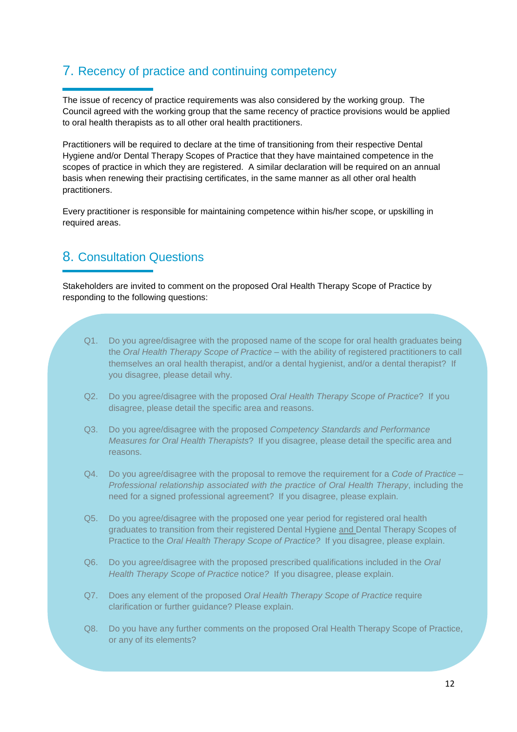## 7. Recency of practice and continuing competency

The issue of recency of practice requirements was also considered by the working group. The Council agreed with the working group that the same recency of practice provisions would be applied to oral health therapists as to all other oral health practitioners.

Practitioners will be required to declare at the time of transitioning from their respective Dental Hygiene and/or Dental Therapy Scopes of Practice that they have maintained competence in the scopes of practice in which they are registered. A similar declaration will be required on an annual basis when renewing their practising certificates, in the same manner as all other oral health practitioners.

Every practitioner is responsible for maintaining competence within his/her scope, or upskilling in required areas.

## 8. Consultation Questions

Stakeholders are invited to comment on the proposed Oral Health Therapy Scope of Practice by responding to the following questions:

- Q1. Do you agree/disagree with the proposed name of the scope for oral health graduates being the Oral Health Therapy Scope of Practice – with the ability of registered practitioners to call themselves an oral health therapist, and/or a dental hygienist, and/or a dental therapist? If you disagree, please detail why.
- Q2. Do you agree/disagree with the proposed Oral Health Therapy Scope of Practice? If you disagree, please detail the specific area and reasons.
- Q3. Do you agree/disagree with the proposed Competency Standards and Performance Measures for Oral Health Therapists? If you disagree, please detail the specific area and reasons.
- $Q4.$  Do you agree/disagree with the proposal to remove the requirement for a Code of Practice Professional relationship associated with the practice of Oral Health Therapy, including the need for a signed professional agreement? If you disagree, please explain.
- Q5. Do you agree/disagree with the proposed one year period for registered oral health graduates to transition from their registered Dental Hygiene and Dental Therapy Scopes of Practice to the Oral Health Therapy Scope of Practice? If you disagree, please explain.
- Q6. Do you agree/disagree with the proposed prescribed qualifications included in the Oral Health Therapy Scope of Practice notice? If you disagree, please explain.
- Q7. Does any element of the proposed Oral Health Therapy Scope of Practice require clarification or further guidance? Please explain.
- Q8. Do you have any further comments on the proposed Oral Health Therapy Scope of Practice, or any of its elements?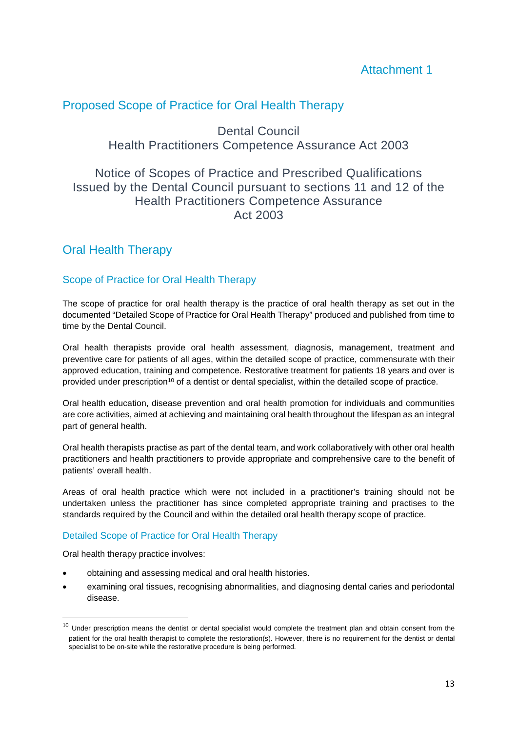## Proposed Scope of Practice for Oral Health Therapy

Dental Council Health Practitioners Competence Assurance Act 2003

## Notice of Scopes of Practice and Prescribed Qualifications Issued by the Dental Council pursuant to sections 11 and 12 of the Health Practitioners Competence Assurance Act 2003

## Oral Health Therapy

#### Scope of Practice for Oral Health Therapy

The scope of practice for oral health therapy is the practice of oral health therapy as set out in the documented "Detailed Scope of Practice for Oral Health Therapy" produced and published from time to time by the Dental Council.

Oral health therapists provide oral health assessment, diagnosis, management, treatment and preventive care for patients of all ages, within the detailed scope of practice, commensurate with their approved education, training and competence. Restorative treatment for patients 18 years and over is provided under prescription<sup>10</sup> of a dentist or dental specialist, within the detailed scope of practice.

Oral health education, disease prevention and oral health promotion for individuals and communities are core activities, aimed at achieving and maintaining oral health throughout the lifespan as an integral part of general health.

Oral health therapists practise as part of the dental team, and work collaboratively with other oral health practitioners and health practitioners to provide appropriate and comprehensive care to the benefit of patients' overall health.

Areas of oral health practice which were not included in a practitioner's training should not be undertaken unless the practitioner has since completed appropriate training and practises to the standards required by the Council and within the detailed oral health therapy scope of practice.

#### Detailed Scope of Practice for Oral Health Therapy

Oral health therapy practice involves:

 $\overline{a}$ 

- obtaining and assessing medical and oral health histories.
- examining oral tissues, recognising abnormalities, and diagnosing dental caries and periodontal disease.

 $10$  Under prescription means the dentist or dental specialist would complete the treatment plan and obtain consent from the patient for the oral health therapist to complete the restoration(s). However, there is no requirement for the dentist or dental specialist to be on-site while the restorative procedure is being performed.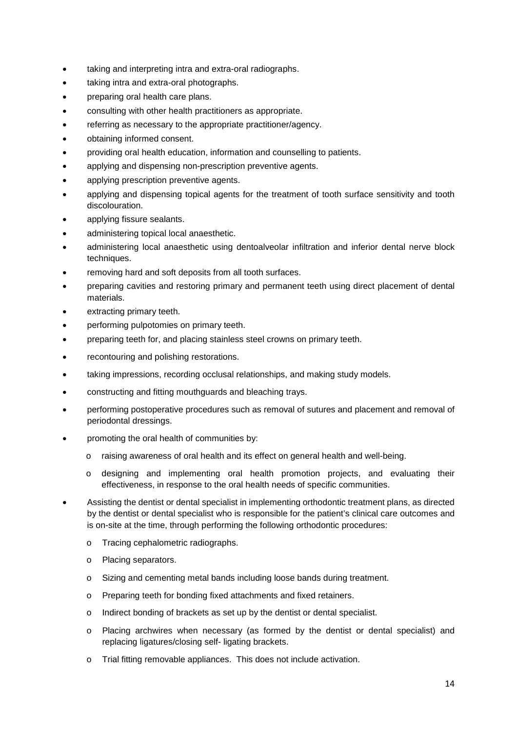- taking and interpreting intra and extra-oral radiographs.
- taking intra and extra-oral photographs.
- preparing oral health care plans.
- consulting with other health practitioners as appropriate.
- referring as necessary to the appropriate practitioner/agency.
- obtaining informed consent.
- providing oral health education, information and counselling to patients.
- applying and dispensing non-prescription preventive agents.
- applying prescription preventive agents.
- applying and dispensing topical agents for the treatment of tooth surface sensitivity and tooth discolouration.
- applying fissure sealants.
- administering topical local anaesthetic.
- administering local anaesthetic using dentoalveolar infiltration and inferior dental nerve block techniques.
- removing hard and soft deposits from all tooth surfaces.
- preparing cavities and restoring primary and permanent teeth using direct placement of dental materials.
- extracting primary teeth.
- performing pulpotomies on primary teeth.
- preparing teeth for, and placing stainless steel crowns on primary teeth.
- recontouring and polishing restorations.
- taking impressions, recording occlusal relationships, and making study models.
- constructing and fitting mouthguards and bleaching trays.
- performing postoperative procedures such as removal of sutures and placement and removal of periodontal dressings.
- promoting the oral health of communities by:
	- o raising awareness of oral health and its effect on general health and well-being.
	- o designing and implementing oral health promotion projects, and evaluating their effectiveness, in response to the oral health needs of specific communities.
- Assisting the dentist or dental specialist in implementing orthodontic treatment plans, as directed by the dentist or dental specialist who is responsible for the patient's clinical care outcomes and is on-site at the time, through performing the following orthodontic procedures:
	- o Tracing cephalometric radiographs.
	- o Placing separators.
	- o Sizing and cementing metal bands including loose bands during treatment.
	- o Preparing teeth for bonding fixed attachments and fixed retainers.
	- o Indirect bonding of brackets as set up by the dentist or dental specialist.
	- o Placing archwires when necessary (as formed by the dentist or dental specialist) and replacing ligatures/closing self- ligating brackets.
	- o Trial fitting removable appliances. This does not include activation.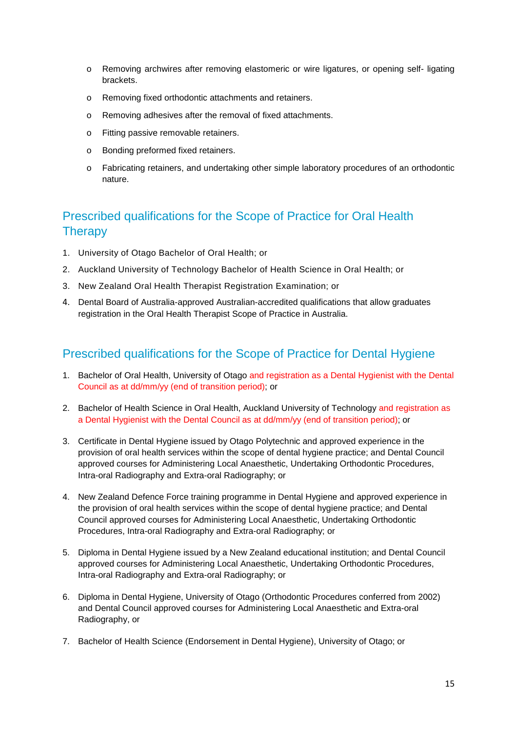- o Removing archwires after removing elastomeric or wire ligatures, or opening self- ligating brackets.
- o Removing fixed orthodontic attachments and retainers.
- o Removing adhesives after the removal of fixed attachments.
- o Fitting passive removable retainers.
- o Bonding preformed fixed retainers.
- o Fabricating retainers, and undertaking other simple laboratory procedures of an orthodontic nature.

## Prescribed qualifications for the Scope of Practice for Oral Health **Therapy**

- 1. University of Otago Bachelor of Oral Health; or
- 2. Auckland University of Technology Bachelor of Health Science in Oral Health; or
- 3. New Zealand Oral Health Therapist Registration Examination; or
- 4. Dental Board of Australia-approved Australian-accredited qualifications that allow graduates registration in the Oral Health Therapist Scope of Practice in Australia.

## Prescribed qualifications for the Scope of Practice for Dental Hygiene

- 1. Bachelor of Oral Health, University of Otago and registration as a Dental Hygienist with the Dental Council as at dd/mm/yy (end of transition period); or
- 2. Bachelor of Health Science in Oral Health, Auckland University of Technology and registration as a Dental Hygienist with the Dental Council as at dd/mm/yy (end of transition period); or
- 3. Certificate in Dental Hygiene issued by Otago Polytechnic and approved experience in the provision of oral health services within the scope of dental hygiene practice; and Dental Council approved courses for Administering Local Anaesthetic, Undertaking Orthodontic Procedures, Intra-oral Radiography and Extra-oral Radiography; or
- 4. New Zealand Defence Force training programme in Dental Hygiene and approved experience in the provision of oral health services within the scope of dental hygiene practice; and Dental Council approved courses for Administering Local Anaesthetic, Undertaking Orthodontic Procedures, Intra-oral Radiography and Extra-oral Radiography; or
- 5. Diploma in Dental Hygiene issued by a New Zealand educational institution; and Dental Council approved courses for Administering Local Anaesthetic, Undertaking Orthodontic Procedures, Intra-oral Radiography and Extra-oral Radiography; or
- 6. Diploma in Dental Hygiene, University of Otago (Orthodontic Procedures conferred from 2002) and Dental Council approved courses for Administering Local Anaesthetic and Extra-oral Radiography, or
- 7. Bachelor of Health Science (Endorsement in Dental Hygiene), University of Otago; or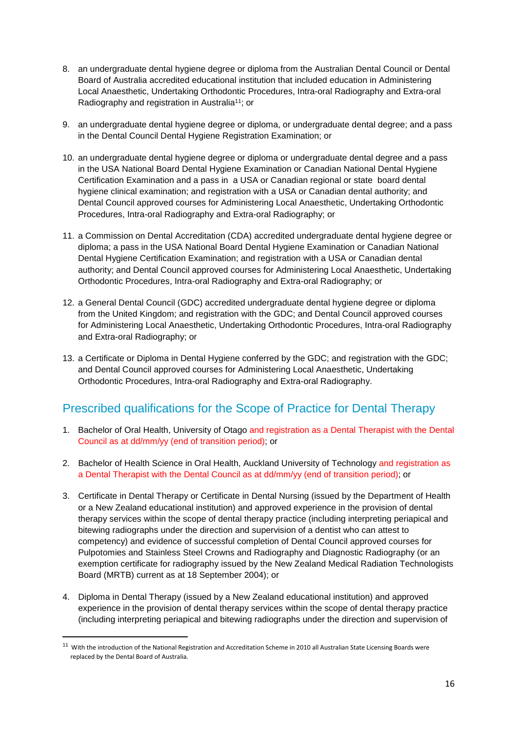- 8. an undergraduate dental hygiene degree or diploma from the Australian Dental Council or Dental Board of Australia accredited educational institution that included education in Administering Local Anaesthetic, Undertaking Orthodontic Procedures, Intra-oral Radiography and Extra-oral Radiography and registration in Australia<sup>11</sup>; or
- 9. an undergraduate dental hygiene degree or diploma, or undergraduate dental degree; and a pass in the Dental Council Dental Hygiene Registration Examination; or
- 10. an undergraduate dental hygiene degree or diploma or undergraduate dental degree and a pass in the USA National Board Dental Hygiene Examination or Canadian National Dental Hygiene Certification Examination and a pass in a USA or Canadian regional or state board dental hygiene clinical examination; and registration with a USA or Canadian dental authority; and Dental Council approved courses for Administering Local Anaesthetic, Undertaking Orthodontic Procedures, Intra-oral Radiography and Extra-oral Radiography; or
- 11. a Commission on Dental Accreditation (CDA) accredited undergraduate dental hygiene degree or diploma; a pass in the USA National Board Dental Hygiene Examination or Canadian National Dental Hygiene Certification Examination; and registration with a USA or Canadian dental authority; and Dental Council approved courses for Administering Local Anaesthetic, Undertaking Orthodontic Procedures, Intra-oral Radiography and Extra-oral Radiography; or
- 12. a General Dental Council (GDC) accredited undergraduate dental hygiene degree or diploma from the United Kingdom; and registration with the GDC; and Dental Council approved courses for Administering Local Anaesthetic, Undertaking Orthodontic Procedures, Intra-oral Radiography and Extra-oral Radiography; or
- 13. a Certificate or Diploma in Dental Hygiene conferred by the GDC; and registration with the GDC; and Dental Council approved courses for Administering Local Anaesthetic, Undertaking Orthodontic Procedures, Intra-oral Radiography and Extra-oral Radiography.

## Prescribed qualifications for the Scope of Practice for Dental Therapy

- 1. Bachelor of Oral Health, University of Otago and registration as a Dental Therapist with the Dental Council as at dd/mm/yy (end of transition period); or
- 2. Bachelor of Health Science in Oral Health, Auckland University of Technology and registration as a Dental Therapist with the Dental Council as at dd/mm/yy (end of transition period); or
- 3. Certificate in Dental Therapy or Certificate in Dental Nursing (issued by the Department of Health or a New Zealand educational institution) and approved experience in the provision of dental therapy services within the scope of dental therapy practice (including interpreting periapical and bitewing radiographs under the direction and supervision of a dentist who can attest to competency) and evidence of successful completion of Dental Council approved courses for Pulpotomies and Stainless Steel Crowns and Radiography and Diagnostic Radiography (or an exemption certificate for radiography issued by the New Zealand Medical Radiation Technologists Board (MRTB) current as at 18 September 2004); or
- 4. Diploma in Dental Therapy (issued by a New Zealand educational institution) and approved experience in the provision of dental therapy services within the scope of dental therapy practice (including interpreting periapical and bitewing radiographs under the direction and supervision of

l

 $11$  With the introduction of the National Registration and Accreditation Scheme in 2010 all Australian State Licensing Boards were replaced by the Dental Board of Australia.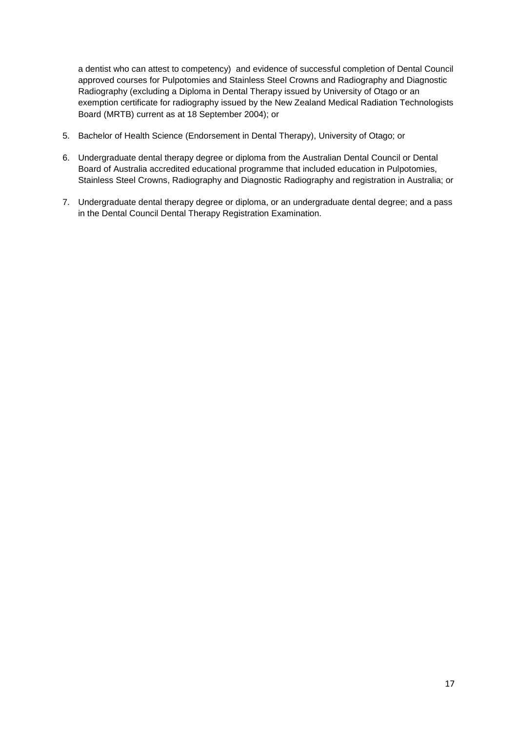a dentist who can attest to competency) and evidence of successful completion of Dental Council approved courses for Pulpotomies and Stainless Steel Crowns and Radiography and Diagnostic Radiography (excluding a Diploma in Dental Therapy issued by University of Otago or an exemption certificate for radiography issued by the New Zealand Medical Radiation Technologists Board (MRTB) current as at 18 September 2004); or

- 5. Bachelor of Health Science (Endorsement in Dental Therapy), University of Otago; or
- 6. Undergraduate dental therapy degree or diploma from the Australian Dental Council or Dental Board of Australia accredited educational programme that included education in Pulpotomies, Stainless Steel Crowns, Radiography and Diagnostic Radiography and registration in Australia; or
- 7. Undergraduate dental therapy degree or diploma, or an undergraduate dental degree; and a pass in the Dental Council Dental Therapy Registration Examination.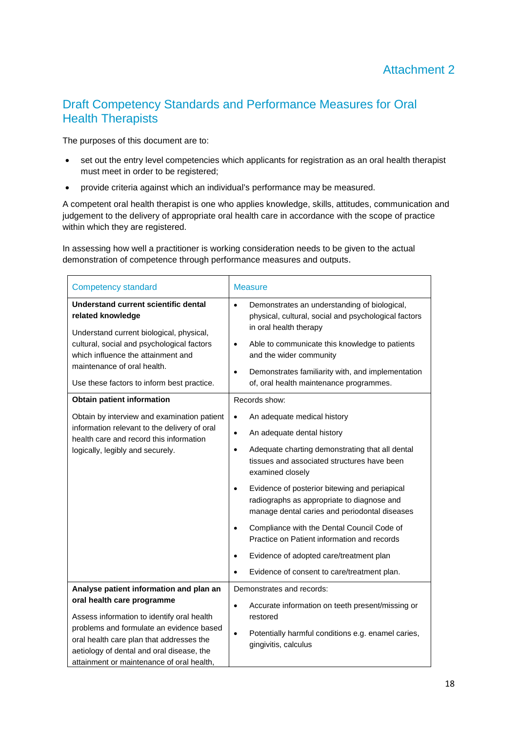## Draft Competency Standards and Performance Measures for Oral Health Therapists

The purposes of this document are to:

- set out the entry level competencies which applicants for registration as an oral health therapist must meet in order to be registered;
- provide criteria against which an individual's performance may be measured.

A competent oral health therapist is one who applies knowledge, skills, attitudes, communication and judgement to the delivery of appropriate oral health care in accordance with the scope of practice within which they are registered.

In assessing how well a practitioner is working consideration needs to be given to the actual demonstration of competence through performance measures and outputs.

| <b>Competency standard</b>                                                                                                                                                                                                                                                                            | <b>Measure</b>                                                                                                                                                                                                                                                                                                                                                                                                                                                                                                                                                                                                    |
|-------------------------------------------------------------------------------------------------------------------------------------------------------------------------------------------------------------------------------------------------------------------------------------------------------|-------------------------------------------------------------------------------------------------------------------------------------------------------------------------------------------------------------------------------------------------------------------------------------------------------------------------------------------------------------------------------------------------------------------------------------------------------------------------------------------------------------------------------------------------------------------------------------------------------------------|
| Understand current scientific dental<br>related knowledge<br>Understand current biological, physical,<br>cultural, social and psychological factors<br>which influence the attainment and<br>maintenance of oral health.<br>Use these factors to inform best practice.                                | Demonstrates an understanding of biological,<br>$\bullet$<br>physical, cultural, social and psychological factors<br>in oral health therapy<br>Able to communicate this knowledge to patients<br>$\bullet$<br>and the wider community<br>Demonstrates familiarity with, and implementation<br>$\bullet$<br>of, oral health maintenance programmes.                                                                                                                                                                                                                                                                |
| <b>Obtain patient information</b>                                                                                                                                                                                                                                                                     | Records show:                                                                                                                                                                                                                                                                                                                                                                                                                                                                                                                                                                                                     |
| Obtain by interview and examination patient<br>information relevant to the delivery of oral<br>health care and record this information<br>logically, legibly and securely.                                                                                                                            | An adequate medical history<br>$\bullet$<br>An adequate dental history<br>$\bullet$<br>Adequate charting demonstrating that all dental<br>$\bullet$<br>tissues and associated structures have been<br>examined closely<br>Evidence of posterior bitewing and periapical<br>$\bullet$<br>radiographs as appropriate to diagnose and<br>manage dental caries and periodontal diseases<br>Compliance with the Dental Council Code of<br>$\bullet$<br>Practice on Patient information and records<br>Evidence of adopted care/treatment plan<br>$\bullet$<br>Evidence of consent to care/treatment plan.<br>$\bullet$ |
| Analyse patient information and plan an<br>oral health care programme<br>Assess information to identify oral health<br>problems and formulate an evidence based<br>oral health care plan that addresses the<br>aetiology of dental and oral disease, the<br>attainment or maintenance of oral health, | Demonstrates and records:<br>Accurate information on teeth present/missing or<br>$\bullet$<br>restored<br>Potentially harmful conditions e.g. enamel caries,<br>$\bullet$<br>gingivitis, calculus                                                                                                                                                                                                                                                                                                                                                                                                                 |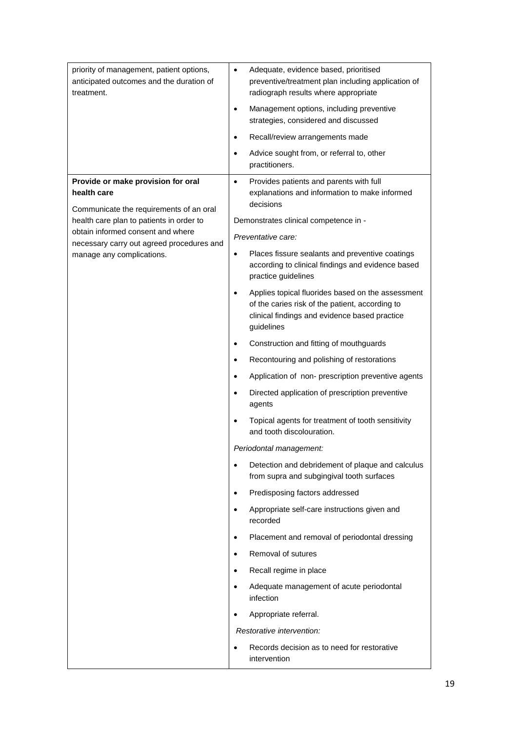| priority of management, patient options,<br>anticipated outcomes and the duration of<br>treatment. | Adequate, evidence based, prioritised<br>$\bullet$<br>preventive/treatment plan including application of<br>radiograph results where appropriate<br>Management options, including preventive<br>$\bullet$<br>strategies, considered and discussed<br>Recall/review arrangements made<br>$\bullet$<br>Advice sought from, or referral to, other<br>$\bullet$ |
|----------------------------------------------------------------------------------------------------|-------------------------------------------------------------------------------------------------------------------------------------------------------------------------------------------------------------------------------------------------------------------------------------------------------------------------------------------------------------|
|                                                                                                    | practitioners.                                                                                                                                                                                                                                                                                                                                              |
| Provide or make provision for oral<br>health care                                                  | Provides patients and parents with full<br>$\bullet$<br>explanations and information to make informed<br>decisions                                                                                                                                                                                                                                          |
| Communicate the requirements of an oral<br>health care plan to patients in order to                | Demonstrates clinical competence in -                                                                                                                                                                                                                                                                                                                       |
| obtain informed consent and where                                                                  | Preventative care:                                                                                                                                                                                                                                                                                                                                          |
| necessary carry out agreed procedures and<br>manage any complications.                             | Places fissure sealants and preventive coatings<br>$\bullet$<br>according to clinical findings and evidence based<br>practice guidelines                                                                                                                                                                                                                    |
|                                                                                                    | Applies topical fluorides based on the assessment<br>$\bullet$<br>of the caries risk of the patient, according to<br>clinical findings and evidence based practice<br>guidelines                                                                                                                                                                            |
|                                                                                                    | Construction and fitting of mouthguards<br>$\bullet$                                                                                                                                                                                                                                                                                                        |
|                                                                                                    | Recontouring and polishing of restorations<br>$\bullet$                                                                                                                                                                                                                                                                                                     |
|                                                                                                    | Application of non- prescription preventive agents<br>$\bullet$                                                                                                                                                                                                                                                                                             |
|                                                                                                    | Directed application of prescription preventive<br>$\bullet$<br>agents                                                                                                                                                                                                                                                                                      |
|                                                                                                    | Topical agents for treatment of tooth sensitivity<br>$\bullet$<br>and tooth discolouration.                                                                                                                                                                                                                                                                 |
|                                                                                                    | Periodontal management:                                                                                                                                                                                                                                                                                                                                     |
|                                                                                                    | Detection and debridement of plaque and calculus<br>$\bullet$<br>from supra and subgingival tooth surfaces                                                                                                                                                                                                                                                  |
|                                                                                                    | Predisposing factors addressed<br>$\bullet$                                                                                                                                                                                                                                                                                                                 |
|                                                                                                    | Appropriate self-care instructions given and<br>$\bullet$<br>recorded                                                                                                                                                                                                                                                                                       |
|                                                                                                    | Placement and removal of periodontal dressing<br>$\bullet$                                                                                                                                                                                                                                                                                                  |
|                                                                                                    | Removal of sutures<br>$\bullet$                                                                                                                                                                                                                                                                                                                             |
|                                                                                                    | Recall regime in place<br>$\bullet$                                                                                                                                                                                                                                                                                                                         |
|                                                                                                    | Adequate management of acute periodontal<br>$\bullet$<br>infection                                                                                                                                                                                                                                                                                          |
|                                                                                                    | Appropriate referral.<br>$\bullet$                                                                                                                                                                                                                                                                                                                          |
|                                                                                                    | Restorative intervention:                                                                                                                                                                                                                                                                                                                                   |
|                                                                                                    | Records decision as to need for restorative<br>$\bullet$<br>intervention                                                                                                                                                                                                                                                                                    |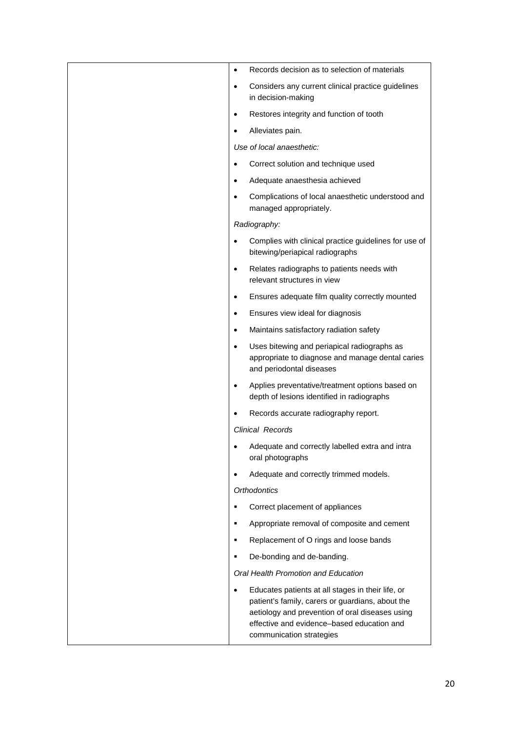| Records decision as to selection of materials<br>$\bullet$                                                                                                                                                                         |  |
|------------------------------------------------------------------------------------------------------------------------------------------------------------------------------------------------------------------------------------|--|
| Considers any current clinical practice guidelines<br>$\bullet$<br>in decision-making                                                                                                                                              |  |
| Restores integrity and function of tooth<br>$\bullet$                                                                                                                                                                              |  |
| Alleviates pain.                                                                                                                                                                                                                   |  |
| Use of local anaesthetic:                                                                                                                                                                                                          |  |
| Correct solution and technique used                                                                                                                                                                                                |  |
| Adequate anaesthesia achieved<br>$\bullet$                                                                                                                                                                                         |  |
| Complications of local anaesthetic understood and<br>$\bullet$<br>managed appropriately.                                                                                                                                           |  |
| Radiography:                                                                                                                                                                                                                       |  |
| Complies with clinical practice guidelines for use of<br>bitewing/periapical radiographs                                                                                                                                           |  |
| Relates radiographs to patients needs with<br>$\bullet$<br>relevant structures in view                                                                                                                                             |  |
| Ensures adequate film quality correctly mounted<br>$\bullet$                                                                                                                                                                       |  |
| Ensures view ideal for diagnosis<br>$\bullet$                                                                                                                                                                                      |  |
| Maintains satisfactory radiation safety<br>$\bullet$                                                                                                                                                                               |  |
| Uses bitewing and periapical radiographs as<br>$\bullet$<br>appropriate to diagnose and manage dental caries<br>and periodontal diseases                                                                                           |  |
| Applies preventative/treatment options based on<br>$\bullet$<br>depth of lesions identified in radiographs                                                                                                                         |  |
| Records accurate radiography report.                                                                                                                                                                                               |  |
| Clinical Records                                                                                                                                                                                                                   |  |
| Adequate and correctly labelled extra and intra<br>oral photographs                                                                                                                                                                |  |
| Adequate and correctly trimmed models.                                                                                                                                                                                             |  |
| <b>Orthodontics</b>                                                                                                                                                                                                                |  |
| Correct placement of appliances                                                                                                                                                                                                    |  |
| Appropriate removal of composite and cement<br>$\blacksquare$                                                                                                                                                                      |  |
| Replacement of O rings and loose bands<br>٠                                                                                                                                                                                        |  |
| De-bonding and de-banding.<br>٠                                                                                                                                                                                                    |  |
| Oral Health Promotion and Education                                                                                                                                                                                                |  |
| Educates patients at all stages in their life, or<br>patient's family, carers or guardians, about the<br>aetiology and prevention of oral diseases using<br>effective and evidence-based education and<br>communication strategies |  |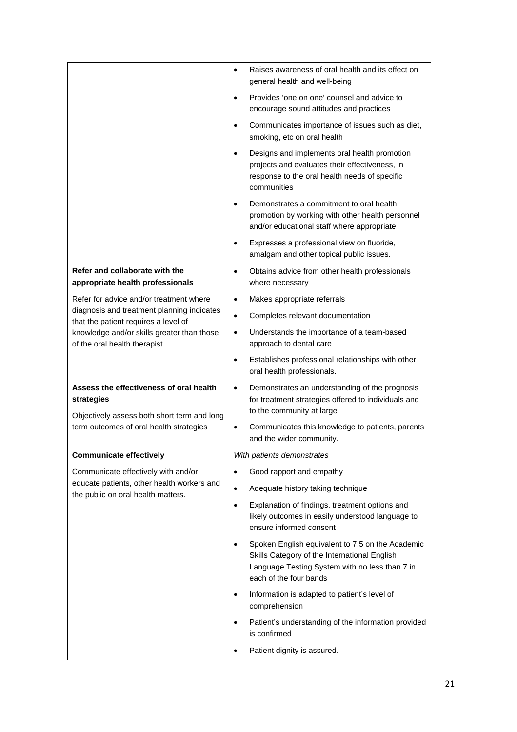|                                                                                                                                                 | Raises awareness of oral health and its effect on<br>$\bullet$<br>general health and well-being                                                                                                                  |
|-------------------------------------------------------------------------------------------------------------------------------------------------|------------------------------------------------------------------------------------------------------------------------------------------------------------------------------------------------------------------|
|                                                                                                                                                 | Provides 'one on one' counsel and advice to<br>$\bullet$<br>encourage sound attitudes and practices                                                                                                              |
|                                                                                                                                                 | Communicates importance of issues such as diet,<br>$\bullet$<br>smoking, etc on oral health                                                                                                                      |
|                                                                                                                                                 | Designs and implements oral health promotion<br>$\bullet$<br>projects and evaluates their effectiveness, in<br>response to the oral health needs of specific<br>communities                                      |
|                                                                                                                                                 | Demonstrates a commitment to oral health<br>$\bullet$<br>promotion by working with other health personnel<br>and/or educational staff where appropriate                                                          |
|                                                                                                                                                 | Expresses a professional view on fluoride,<br>$\bullet$<br>amalgam and other topical public issues.                                                                                                              |
| Refer and collaborate with the<br>appropriate health professionals                                                                              | Obtains advice from other health professionals<br>$\bullet$<br>where necessary                                                                                                                                   |
| Refer for advice and/or treatment where                                                                                                         | Makes appropriate referrals<br>$\bullet$                                                                                                                                                                         |
| diagnosis and treatment planning indicates                                                                                                      | Completes relevant documentation<br>$\bullet$                                                                                                                                                                    |
| that the patient requires a level of<br>knowledge and/or skills greater than those<br>of the oral health therapist                              | Understands the importance of a team-based<br>$\bullet$<br>approach to dental care                                                                                                                               |
|                                                                                                                                                 | Establishes professional relationships with other<br>$\bullet$<br>oral health professionals.                                                                                                                     |
|                                                                                                                                                 |                                                                                                                                                                                                                  |
| Assess the effectiveness of oral health<br>strategies<br>Objectively assess both short term and long<br>term outcomes of oral health strategies | Demonstrates an understanding of the prognosis<br>$\bullet$<br>for treatment strategies offered to individuals and<br>to the community at large<br>Communicates this knowledge to patients, parents<br>$\bullet$ |
|                                                                                                                                                 | and the wider community.                                                                                                                                                                                         |
| <b>Communicate effectively</b>                                                                                                                  | With patients demonstrates                                                                                                                                                                                       |
| Communicate effectively with and/or<br>educate patients, other health workers and                                                               | Good rapport and empathy<br>$\bullet$                                                                                                                                                                            |
| the public on oral health matters.                                                                                                              | Adequate history taking technique<br>$\bullet$<br>Explanation of findings, treatment options and<br>$\bullet$<br>likely outcomes in easily understood language to<br>ensure informed consent                     |
|                                                                                                                                                 | Spoken English equivalent to 7.5 on the Academic<br>$\bullet$<br>Skills Category of the International English<br>Language Testing System with no less than 7 in<br>each of the four bands                        |
|                                                                                                                                                 | Information is adapted to patient's level of<br>$\bullet$<br>comprehension                                                                                                                                       |
|                                                                                                                                                 | Patient's understanding of the information provided<br>$\bullet$<br>is confirmed                                                                                                                                 |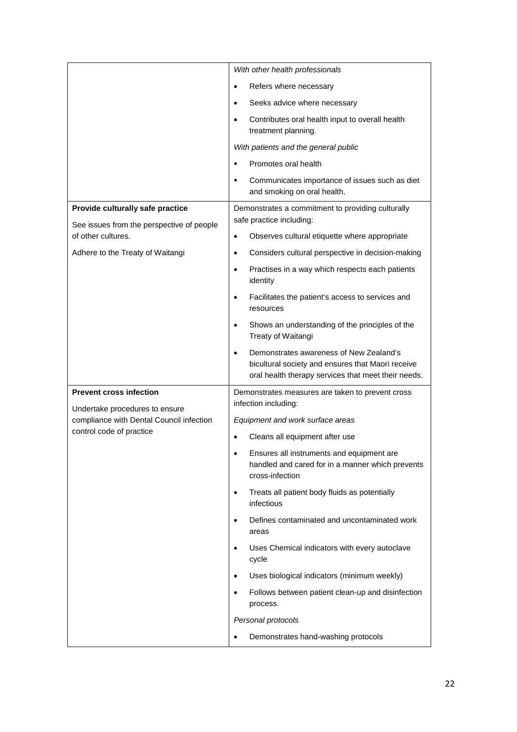|                                                                               | With other health professionals                                                                                                                     |
|-------------------------------------------------------------------------------|-----------------------------------------------------------------------------------------------------------------------------------------------------|
|                                                                               | Refers where necessary<br>$\bullet$                                                                                                                 |
|                                                                               | Seeks advice where necessary                                                                                                                        |
|                                                                               | Contributes oral health input to overall health<br>$\bullet$<br>treatment planning.                                                                 |
|                                                                               | With patients and the general public                                                                                                                |
|                                                                               | Promotes oral health                                                                                                                                |
|                                                                               | Communicates importance of issues such as diet<br>$\blacksquare$<br>and smoking on oral health.                                                     |
| Provide culturally safe practice<br>See issues from the perspective of people | Demonstrates a commitment to providing culturally<br>safe practice including:                                                                       |
| of other cultures.                                                            | Observes cultural etiquette where appropriate                                                                                                       |
| Adhere to the Treaty of Waitangi                                              | Considers cultural perspective in decision-making<br>$\bullet$                                                                                      |
|                                                                               | Practises in a way which respects each patients<br>$\bullet$<br>identity                                                                            |
|                                                                               | Facilitates the patient's access to services and<br>$\bullet$<br>resources                                                                          |
|                                                                               | Shows an understanding of the principles of the<br>$\bullet$<br>Treaty of Waitangi                                                                  |
|                                                                               | Demonstrates awareness of New Zealand's<br>bicultural society and ensures that Maori receive<br>oral health therapy services that meet their needs. |
| <b>Prevent cross infection</b>                                                | Demonstrates measures are taken to prevent cross<br>infection including:                                                                            |
| Undertake procedures to ensure<br>compliance with Dental Council infection    | Equipment and work surface areas                                                                                                                    |
| control code of practice                                                      | Cleans all equipment after use                                                                                                                      |
|                                                                               | Ensures all instruments and equipment are<br>$\bullet$<br>handled and cared for in a manner which prevents<br>cross-infection                       |
|                                                                               | Treats all patient body fluids as potentially<br>$\bullet$<br>infectious                                                                            |
|                                                                               | Defines contaminated and uncontaminated work<br>areas                                                                                               |
|                                                                               | Uses Chemical indicators with every autoclave                                                                                                       |
|                                                                               | cycle                                                                                                                                               |
|                                                                               | Uses biological indicators (minimum weekly)<br>$\bullet$                                                                                            |
|                                                                               | Follows between patient clean-up and disinfection<br>$\bullet$<br>process.                                                                          |
|                                                                               | Personal protocols                                                                                                                                  |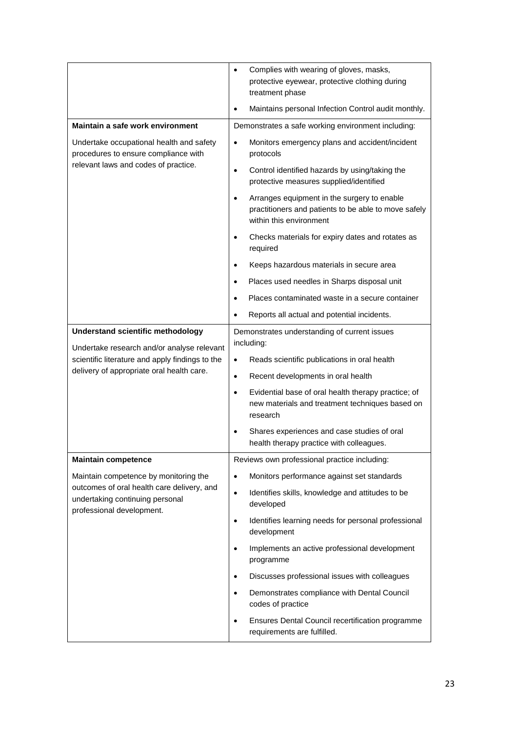|                                                                                                                          | Complies with wearing of gloves, masks,<br>$\bullet$<br>protective eyewear, protective clothing during<br>treatment phase                   |
|--------------------------------------------------------------------------------------------------------------------------|---------------------------------------------------------------------------------------------------------------------------------------------|
|                                                                                                                          | Maintains personal Infection Control audit monthly.<br>$\bullet$                                                                            |
| Maintain a safe work environment                                                                                         | Demonstrates a safe working environment including:                                                                                          |
| Undertake occupational health and safety<br>procedures to ensure compliance with<br>relevant laws and codes of practice. | Monitors emergency plans and accident/incident<br>$\bullet$<br>protocols                                                                    |
|                                                                                                                          | Control identified hazards by using/taking the<br>$\bullet$<br>protective measures supplied/identified                                      |
|                                                                                                                          | Arranges equipment in the surgery to enable<br>$\bullet$<br>practitioners and patients to be able to move safely<br>within this environment |
|                                                                                                                          | Checks materials for expiry dates and rotates as<br>$\bullet$<br>required                                                                   |
|                                                                                                                          | Keeps hazardous materials in secure area<br>$\bullet$                                                                                       |
|                                                                                                                          | Places used needles in Sharps disposal unit<br>٠                                                                                            |
|                                                                                                                          | Places contaminated waste in a secure container<br>$\bullet$                                                                                |
|                                                                                                                          | Reports all actual and potential incidents.                                                                                                 |
| <b>Understand scientific methodology</b>                                                                                 | Demonstrates understanding of current issues<br>including:                                                                                  |
| Undertake research and/or analyse relevant<br>scientific literature and apply findings to the                            | Reads scientific publications in oral health<br>$\bullet$                                                                                   |
| delivery of appropriate oral health care.                                                                                | Recent developments in oral health<br>$\bullet$                                                                                             |
|                                                                                                                          | Evidential base of oral health therapy practice; of<br>$\bullet$                                                                            |
|                                                                                                                          | new materials and treatment techniques based on<br>research                                                                                 |
|                                                                                                                          | Shares experiences and case studies of oral<br>$\bullet$<br>health therapy practice with colleagues.                                        |
| <b>Maintain competence</b>                                                                                               | Reviews own professional practice including:                                                                                                |
| Maintain competence by monitoring the                                                                                    | Monitors performance against set standards<br>$\bullet$                                                                                     |
| outcomes of oral health care delivery, and<br>undertaking continuing personal<br>professional development.               | Identifies skills, knowledge and attitudes to be<br>$\bullet$<br>developed                                                                  |
|                                                                                                                          | Identifies learning needs for personal professional<br>$\bullet$<br>development                                                             |
|                                                                                                                          | Implements an active professional development<br>$\bullet$<br>programme                                                                     |
|                                                                                                                          | Discusses professional issues with colleagues<br>$\bullet$                                                                                  |
|                                                                                                                          | Demonstrates compliance with Dental Council<br>$\bullet$<br>codes of practice                                                               |
|                                                                                                                          | Ensures Dental Council recertification programme<br>$\bullet$<br>requirements are fulfilled.                                                |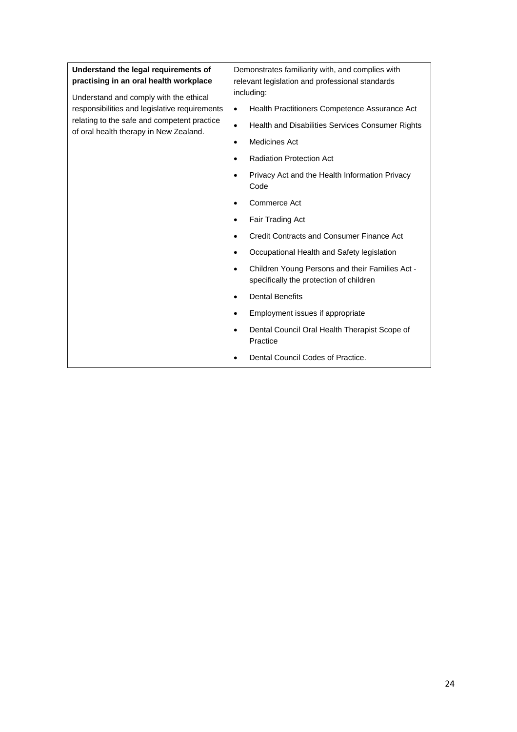| Understand the legal requirements of<br>practising in an oral health workplace<br>Understand and comply with the ethical<br>responsibilities and legislative requirements<br>relating to the safe and competent practice<br>of oral health therapy in New Zealand. | Demonstrates familiarity with, and complies with<br>relevant legislation and professional standards<br>including: |
|--------------------------------------------------------------------------------------------------------------------------------------------------------------------------------------------------------------------------------------------------------------------|-------------------------------------------------------------------------------------------------------------------|
|                                                                                                                                                                                                                                                                    | Health Practitioners Competence Assurance Act<br>$\bullet$                                                        |
|                                                                                                                                                                                                                                                                    | Health and Disabilities Services Consumer Rights<br>$\bullet$                                                     |
|                                                                                                                                                                                                                                                                    | Medicines Act<br>$\bullet$                                                                                        |
|                                                                                                                                                                                                                                                                    | <b>Radiation Protection Act</b><br>$\bullet$                                                                      |
|                                                                                                                                                                                                                                                                    | Privacy Act and the Health Information Privacy<br>Code                                                            |
|                                                                                                                                                                                                                                                                    | Commerce Act<br>٠                                                                                                 |
|                                                                                                                                                                                                                                                                    | Fair Trading Act<br>٠                                                                                             |
|                                                                                                                                                                                                                                                                    | Credit Contracts and Consumer Finance Act<br>$\bullet$                                                            |
|                                                                                                                                                                                                                                                                    | Occupational Health and Safety legislation<br>٠                                                                   |
|                                                                                                                                                                                                                                                                    | Children Young Persons and their Families Act -<br>$\bullet$<br>specifically the protection of children           |
|                                                                                                                                                                                                                                                                    | <b>Dental Benefits</b><br>$\bullet$                                                                               |
|                                                                                                                                                                                                                                                                    | Employment issues if appropriate                                                                                  |
|                                                                                                                                                                                                                                                                    | Dental Council Oral Health Therapist Scope of<br>Practice                                                         |
|                                                                                                                                                                                                                                                                    | Dental Council Codes of Practice.<br>٠                                                                            |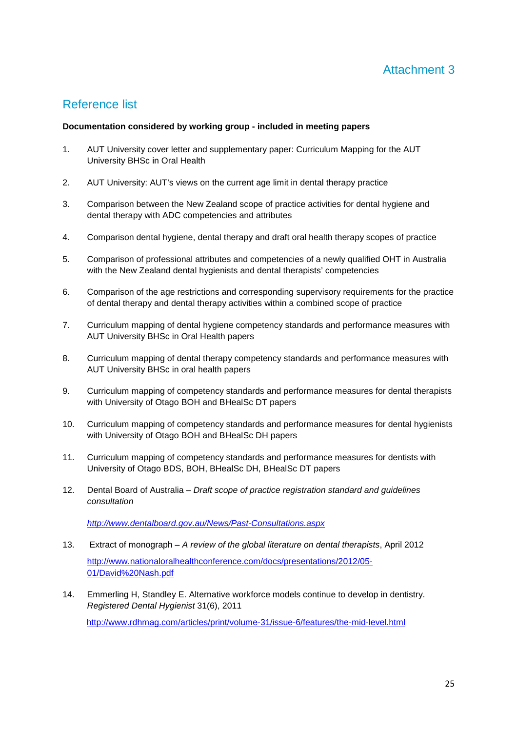## Attachment 3

## Reference list

#### **Documentation considered by working group - included in meeting papers**

- 1. AUT University cover letter and supplementary paper: Curriculum Mapping for the AUT University BHSc in Oral Health
- 2. AUT University: AUT's views on the current age limit in dental therapy practice
- 3. Comparison between the New Zealand scope of practice activities for dental hygiene and dental therapy with ADC competencies and attributes
- 4. Comparison dental hygiene, dental therapy and draft oral health therapy scopes of practice
- 5. Comparison of professional attributes and competencies of a newly qualified OHT in Australia with the New Zealand dental hygienists and dental therapists' competencies
- 6. Comparison of the age restrictions and corresponding supervisory requirements for the practice of dental therapy and dental therapy activities within a combined scope of practice
- 7. Curriculum mapping of dental hygiene competency standards and performance measures with AUT University BHSc in Oral Health papers
- 8. Curriculum mapping of dental therapy competency standards and performance measures with AUT University BHSc in oral health papers
- 9. Curriculum mapping of competency standards and performance measures for dental therapists with University of Otago BOH and BHealSc DT papers
- 10. Curriculum mapping of competency standards and performance measures for dental hygienists with University of Otago BOH and BHealSc DH papers
- 11. Curriculum mapping of competency standards and performance measures for dentists with University of Otago BDS, BOH, BHealSc DH, BHealSc DT papers
- 12. Dental Board of Australia Draft scope of practice registration standard and guidelines consultation

http://www.dentalboard.gov.au/News/Past-Consultations.aspx

- 13. Extract of monograph A review of the global literature on dental therapists, April 2012 http://www.nationaloralhealthconference.com/docs/presentations/2012/05- 01/David%20Nash.pdf
- 14. Emmerling H, Standley E. Alternative workforce models continue to develop in dentistry. Registered Dental Hygienist 31(6), 2011 http://www.rdhmag.com/articles/print/volume-31/issue-6/features/the-mid-level.html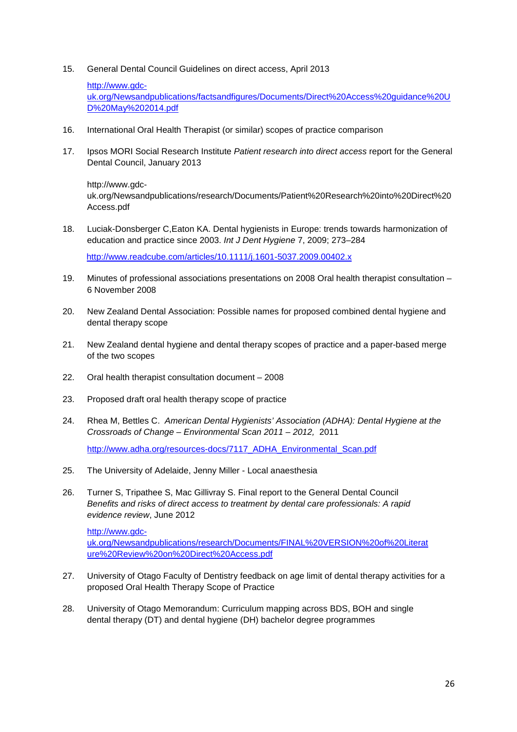15. General Dental Council Guidelines on direct access, April 2013

```
http://www.gdc-
```
uk.org/Newsandpublications/factsandfigures/Documents/Direct%20Access%20guidance%20U D%20May%202014.pdf

- 16. International Oral Health Therapist (or similar) scopes of practice comparison
- 17. Ipsos MORI Social Research Institute Patient research into direct access report for the General Dental Council, January 2013

http://www.gdcuk.org/Newsandpublications/research/Documents/Patient%20Research%20into%20Direct%20 Access.pdf

18. Luciak-Donsberger C,Eaton KA. Dental hygienists in Europe: trends towards harmonization of education and practice since 2003. Int J Dent Hygiene 7, 2009; 273–284

http://www.readcube.com/articles/10.1111/j.1601-5037.2009.00402.x

- 19. Minutes of professional associations presentations on 2008 Oral health therapist consultation 6 November 2008
- 20. New Zealand Dental Association: Possible names for proposed combined dental hygiene and dental therapy scope
- 21. New Zealand dental hygiene and dental therapy scopes of practice and a paper-based merge of the two scopes
- 22. Oral health therapist consultation document 2008
- 23. Proposed draft oral health therapy scope of practice
- 24. Rhea M, Bettles C. American Dental Hygienists' Association (ADHA): Dental Hygiene at the Crossroads of Change – Environmental Scan 2011 – 2012, 2011 http://www.adha.org/resources-docs/7117\_ADHA\_Environmental\_Scan.pdf
- 25. The University of Adelaide, Jenny Miller Local anaesthesia
- 26. Turner S, Tripathee S, Mac Gillivray S. Final report to the General Dental Council Benefits and risks of direct access to treatment by dental care professionals: A rapid evidence review, June 2012

http://www.gdcuk.org/Newsandpublications/research/Documents/FINAL%20VERSION%20of%20Literat ure%20Review%20on%20Direct%20Access.pdf

- 27. University of Otago Faculty of Dentistry feedback on age limit of dental therapy activities for a proposed Oral Health Therapy Scope of Practice
- 28. University of Otago Memorandum: Curriculum mapping across BDS, BOH and single dental therapy (DT) and dental hygiene (DH) bachelor degree programmes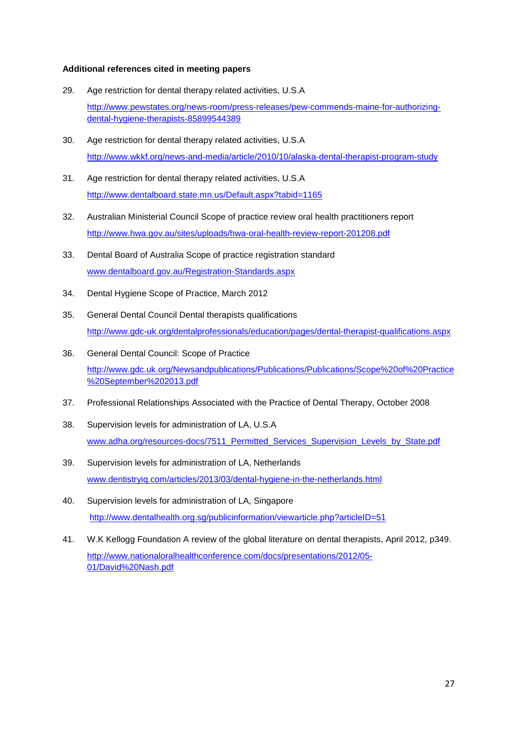#### **Additional references cited in meeting papers**

- 29. Age restriction for dental therapy related activities, U.S.A http://www.pewstates.org/news-room/press-releases/pew-commends-maine-for-authorizingdental-hygiene-therapists-85899544389
- 30. Age restriction for dental therapy related activities, U.S.A http://www.wkkf.org/news-and-media/article/2010/10/alaska-dental-therapist-program-study
- 31. Age restriction for dental therapy related activities, U.S.A http://www.dentalboard.state.mn.us/Default.aspx?tabid=1165
- 32. Australian Ministerial Council Scope of practice review oral health practitioners report http://www.hwa.gov.au/sites/uploads/hwa-oral-health-review-report-201208.pdf
- 33. Dental Board of Australia Scope of practice registration standard www.dentalboard.gov.au/Registration-Standards.aspx
- 34. Dental Hygiene Scope of Practice, March 2012
- 35. General Dental Council Dental therapists qualifications http://www.gdc-uk.org/dentalprofessionals/education/pages/dental-therapist-qualifications.aspx
- 36. General Dental Council: Scope of Practice http://www.gdc.uk.org/Newsandpublications/Publications/Publications/Scope%20of%20Practice %20September%202013.pdf
- 37. Professional Relationships Associated with the Practice of Dental Therapy, October 2008
- 38. Supervision levels for administration of LA, U.S.A www.adha.org/resources-docs/7511\_Permitted\_Services\_Supervision\_Levels\_by\_State.pdf
- 39. Supervision levels for administration of LA, Netherlands www.dentistryiq.com/articles/2013/03/dental-hygiene-in-the-netherlands.html
- 40. Supervision levels for administration of LA, Singapore http://www.dentalhealth.org.sg/publicinformation/viewarticle.php?articleID=51
- 41. W.K Kellogg Foundation A review of the global literature on dental therapists, April 2012, p349. http://www.nationaloralhealthconference.com/docs/presentations/2012/05- 01/David%20Nash.pdf